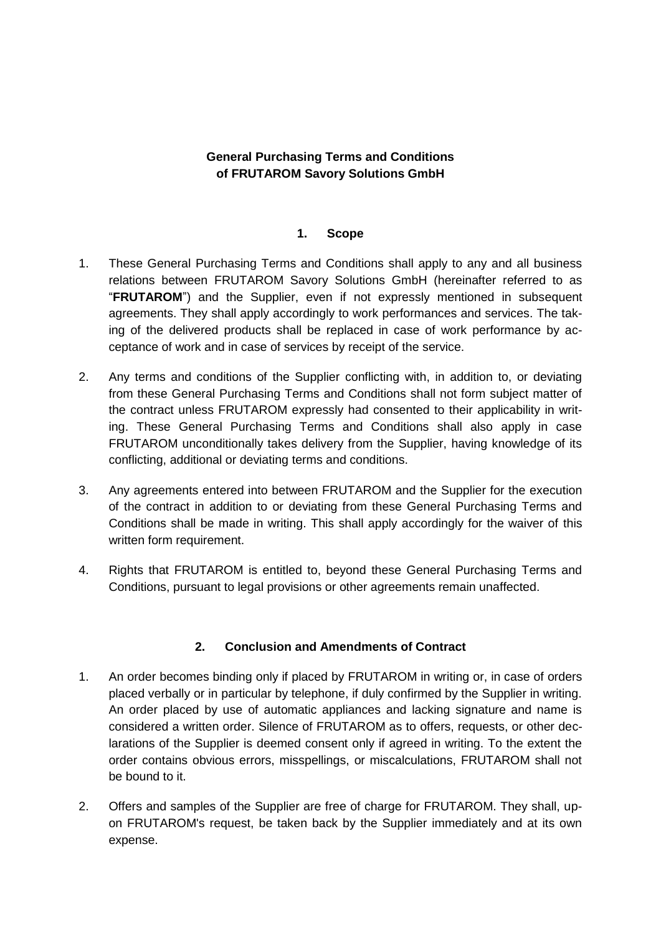# **General Purchasing Terms and Conditions of FRUTAROM Savory Solutions GmbH**

## **1. Scope**

- 1. These General Purchasing Terms and Conditions shall apply to any and all business relations between FRUTAROM Savory Solutions GmbH (hereinafter referred to as "**FRUTAROM**") and the Supplier, even if not expressly mentioned in subsequent agreements. They shall apply accordingly to work performances and services. The taking of the delivered products shall be replaced in case of work performance by acceptance of work and in case of services by receipt of the service.
- 2. Any terms and conditions of the Supplier conflicting with, in addition to, or deviating from these General Purchasing Terms and Conditions shall not form subject matter of the contract unless FRUTAROM expressly had consented to their applicability in writing. These General Purchasing Terms and Conditions shall also apply in case FRUTAROM unconditionally takes delivery from the Supplier, having knowledge of its conflicting, additional or deviating terms and conditions.
- 3. Any agreements entered into between FRUTAROM and the Supplier for the execution of the contract in addition to or deviating from these General Purchasing Terms and Conditions shall be made in writing. This shall apply accordingly for the waiver of this written form requirement.
- 4. Rights that FRUTAROM is entitled to, beyond these General Purchasing Terms and Conditions, pursuant to legal provisions or other agreements remain unaffected.

# **2. Conclusion and Amendments of Contract**

- 1. An order becomes binding only if placed by FRUTAROM in writing or, in case of orders placed verbally or in particular by telephone, if duly confirmed by the Supplier in writing. An order placed by use of automatic appliances and lacking signature and name is considered a written order. Silence of FRUTAROM as to offers, requests, or other declarations of the Supplier is deemed consent only if agreed in writing. To the extent the order contains obvious errors, misspellings, or miscalculations, FRUTAROM shall not be bound to it.
- 2. Offers and samples of the Supplier are free of charge for FRUTAROM. They shall, upon FRUTAROM's request, be taken back by the Supplier immediately and at its own expense.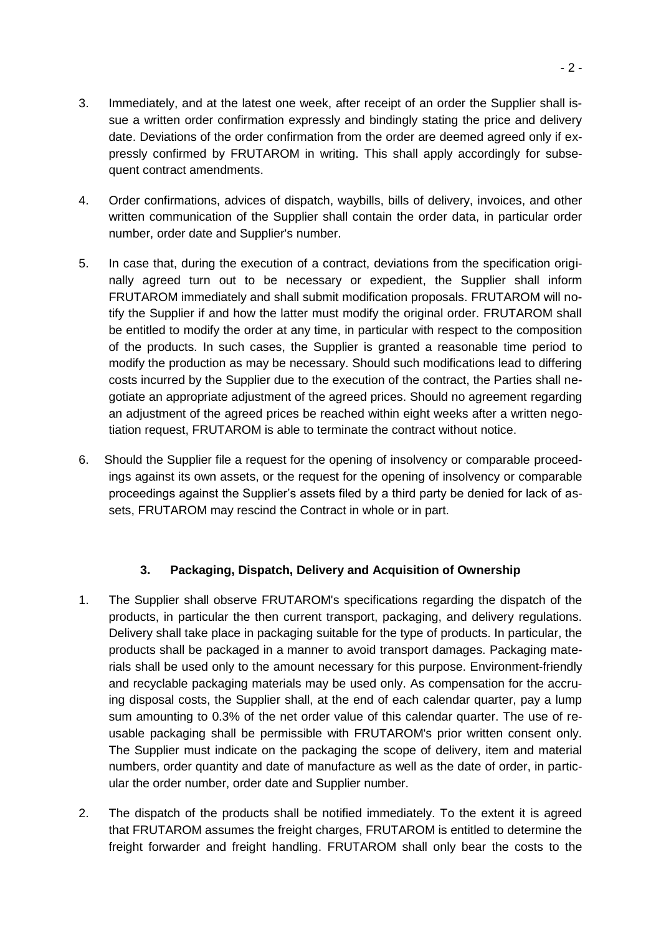- 3. Immediately, and at the latest one week, after receipt of an order the Supplier shall issue a written order confirmation expressly and bindingly stating the price and delivery date. Deviations of the order confirmation from the order are deemed agreed only if expressly confirmed by FRUTAROM in writing. This shall apply accordingly for subsequent contract amendments.
- 4. Order confirmations, advices of dispatch, waybills, bills of delivery, invoices, and other written communication of the Supplier shall contain the order data, in particular order number, order date and Supplier's number.
- 5. In case that, during the execution of a contract, deviations from the specification originally agreed turn out to be necessary or expedient, the Supplier shall inform FRUTAROM immediately and shall submit modification proposals. FRUTAROM will notify the Supplier if and how the latter must modify the original order. FRUTAROM shall be entitled to modify the order at any time, in particular with respect to the composition of the products. In such cases, the Supplier is granted a reasonable time period to modify the production as may be necessary. Should such modifications lead to differing costs incurred by the Supplier due to the execution of the contract, the Parties shall negotiate an appropriate adjustment of the agreed prices. Should no agreement regarding an adjustment of the agreed prices be reached within eight weeks after a written negotiation request, FRUTAROM is able to terminate the contract without notice.
- 6. Should the Supplier file a request for the opening of insolvency or comparable proceedings against its own assets, or the request for the opening of insolvency or comparable proceedings against the Supplier's assets filed by a third party be denied for lack of assets, FRUTAROM may rescind the Contract in whole or in part.

# **3. Packaging, Dispatch, Delivery and Acquisition of Ownership**

- 1. The Supplier shall observe FRUTAROM's specifications regarding the dispatch of the products, in particular the then current transport, packaging, and delivery regulations. Delivery shall take place in packaging suitable for the type of products. In particular, the products shall be packaged in a manner to avoid transport damages. Packaging materials shall be used only to the amount necessary for this purpose. Environment-friendly and recyclable packaging materials may be used only. As compensation for the accruing disposal costs, the Supplier shall, at the end of each calendar quarter, pay a lump sum amounting to 0.3% of the net order value of this calendar quarter. The use of reusable packaging shall be permissible with FRUTAROM's prior written consent only. The Supplier must indicate on the packaging the scope of delivery, item and material numbers, order quantity and date of manufacture as well as the date of order, in particular the order number, order date and Supplier number.
- 2. The dispatch of the products shall be notified immediately. To the extent it is agreed that FRUTAROM assumes the freight charges, FRUTAROM is entitled to determine the freight forwarder and freight handling. FRUTAROM shall only bear the costs to the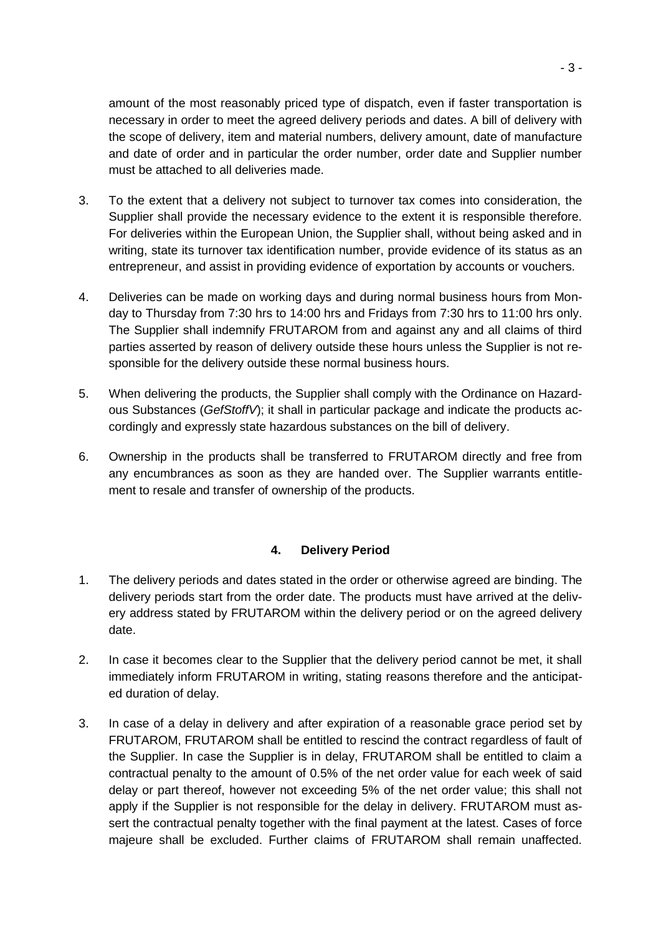amount of the most reasonably priced type of dispatch, even if faster transportation is necessary in order to meet the agreed delivery periods and dates. A bill of delivery with the scope of delivery, item and material numbers, delivery amount, date of manufacture and date of order and in particular the order number, order date and Supplier number must be attached to all deliveries made.

- 3. To the extent that a delivery not subject to turnover tax comes into consideration, the Supplier shall provide the necessary evidence to the extent it is responsible therefore. For deliveries within the European Union, the Supplier shall, without being asked and in writing, state its turnover tax identification number, provide evidence of its status as an entrepreneur, and assist in providing evidence of exportation by accounts or vouchers.
- 4. Deliveries can be made on working days and during normal business hours from Monday to Thursday from 7:30 hrs to 14:00 hrs and Fridays from 7:30 hrs to 11:00 hrs only. The Supplier shall indemnify FRUTAROM from and against any and all claims of third parties asserted by reason of delivery outside these hours unless the Supplier is not responsible for the delivery outside these normal business hours.
- 5. When delivering the products, the Supplier shall comply with the Ordinance on Hazardous Substances (*GefStoffV*); it shall in particular package and indicate the products accordingly and expressly state hazardous substances on the bill of delivery.
- 6. Ownership in the products shall be transferred to FRUTAROM directly and free from any encumbrances as soon as they are handed over. The Supplier warrants entitlement to resale and transfer of ownership of the products.

# **4. Delivery Period**

- 1. The delivery periods and dates stated in the order or otherwise agreed are binding. The delivery periods start from the order date. The products must have arrived at the delivery address stated by FRUTAROM within the delivery period or on the agreed delivery date.
- 2. In case it becomes clear to the Supplier that the delivery period cannot be met, it shall immediately inform FRUTAROM in writing, stating reasons therefore and the anticipated duration of delay.
- 3. In case of a delay in delivery and after expiration of a reasonable grace period set by FRUTAROM, FRUTAROM shall be entitled to rescind the contract regardless of fault of the Supplier. In case the Supplier is in delay, FRUTAROM shall be entitled to claim a contractual penalty to the amount of 0.5% of the net order value for each week of said delay or part thereof, however not exceeding 5% of the net order value; this shall not apply if the Supplier is not responsible for the delay in delivery. FRUTAROM must assert the contractual penalty together with the final payment at the latest. Cases of force majeure shall be excluded. Further claims of FRUTAROM shall remain unaffected.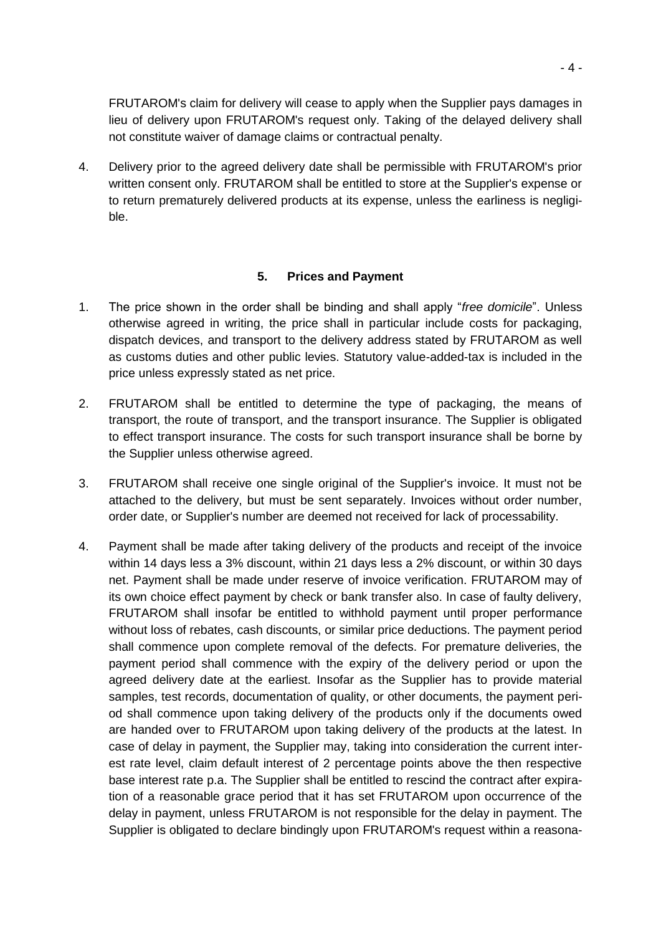FRUTAROM's claim for delivery will cease to apply when the Supplier pays damages in lieu of delivery upon FRUTAROM's request only. Taking of the delayed delivery shall not constitute waiver of damage claims or contractual penalty.

4. Delivery prior to the agreed delivery date shall be permissible with FRUTAROM's prior written consent only. FRUTAROM shall be entitled to store at the Supplier's expense or to return prematurely delivered products at its expense, unless the earliness is negligible.

### **5. Prices and Payment**

- 1. The price shown in the order shall be binding and shall apply "*free domicile*". Unless otherwise agreed in writing, the price shall in particular include costs for packaging, dispatch devices, and transport to the delivery address stated by FRUTAROM as well as customs duties and other public levies. Statutory value-added-tax is included in the price unless expressly stated as net price.
- 2. FRUTAROM shall be entitled to determine the type of packaging, the means of transport, the route of transport, and the transport insurance. The Supplier is obligated to effect transport insurance. The costs for such transport insurance shall be borne by the Supplier unless otherwise agreed.
- 3. FRUTAROM shall receive one single original of the Supplier's invoice. It must not be attached to the delivery, but must be sent separately. Invoices without order number, order date, or Supplier's number are deemed not received for lack of processability.
- 4. Payment shall be made after taking delivery of the products and receipt of the invoice within 14 days less a 3% discount, within 21 days less a 2% discount, or within 30 days net. Payment shall be made under reserve of invoice verification. FRUTAROM may of its own choice effect payment by check or bank transfer also. In case of faulty delivery, FRUTAROM shall insofar be entitled to withhold payment until proper performance without loss of rebates, cash discounts, or similar price deductions. The payment period shall commence upon complete removal of the defects. For premature deliveries, the payment period shall commence with the expiry of the delivery period or upon the agreed delivery date at the earliest. Insofar as the Supplier has to provide material samples, test records, documentation of quality, or other documents, the payment period shall commence upon taking delivery of the products only if the documents owed are handed over to FRUTAROM upon taking delivery of the products at the latest. In case of delay in payment, the Supplier may, taking into consideration the current interest rate level, claim default interest of 2 percentage points above the then respective base interest rate p.a. The Supplier shall be entitled to rescind the contract after expiration of a reasonable grace period that it has set FRUTAROM upon occurrence of the delay in payment, unless FRUTAROM is not responsible for the delay in payment. The Supplier is obligated to declare bindingly upon FRUTAROM's request within a reasona-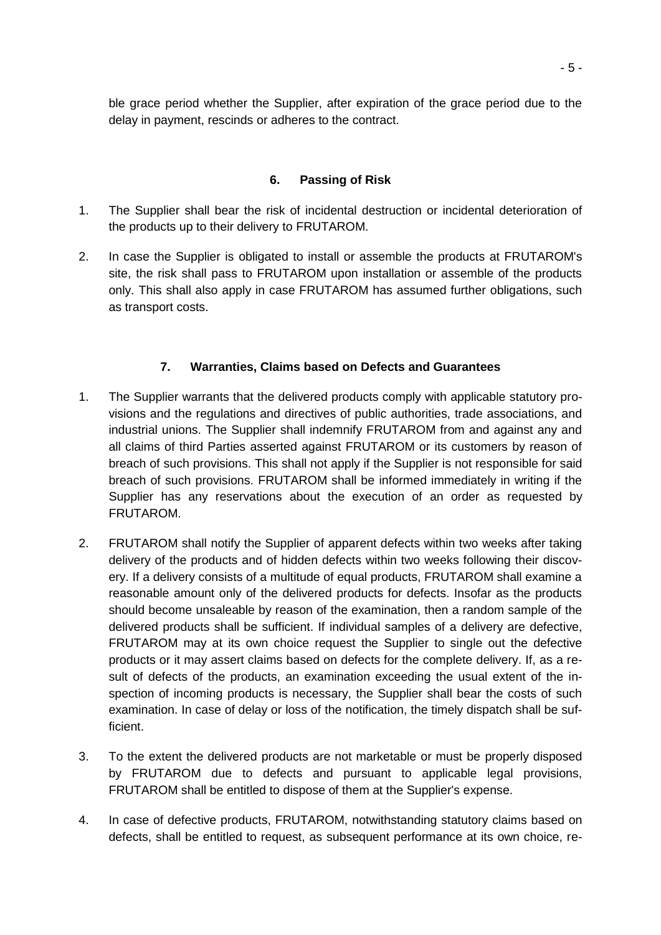ble grace period whether the Supplier, after expiration of the grace period due to the delay in payment, rescinds or adheres to the contract.

# **6. Passing of Risk**

- 1. The Supplier shall bear the risk of incidental destruction or incidental deterioration of the products up to their delivery to FRUTAROM.
- 2. In case the Supplier is obligated to install or assemble the products at FRUTAROM's site, the risk shall pass to FRUTAROM upon installation or assemble of the products only. This shall also apply in case FRUTAROM has assumed further obligations, such as transport costs.

# **7. Warranties, Claims based on Defects and Guarantees**

- 1. The Supplier warrants that the delivered products comply with applicable statutory provisions and the regulations and directives of public authorities, trade associations, and industrial unions. The Supplier shall indemnify FRUTAROM from and against any and all claims of third Parties asserted against FRUTAROM or its customers by reason of breach of such provisions. This shall not apply if the Supplier is not responsible for said breach of such provisions. FRUTAROM shall be informed immediately in writing if the Supplier has any reservations about the execution of an order as requested by FRUTAROM.
- 2. FRUTAROM shall notify the Supplier of apparent defects within two weeks after taking delivery of the products and of hidden defects within two weeks following their discovery. If a delivery consists of a multitude of equal products, FRUTAROM shall examine a reasonable amount only of the delivered products for defects. Insofar as the products should become unsaleable by reason of the examination, then a random sample of the delivered products shall be sufficient. If individual samples of a delivery are defective, FRUTAROM may at its own choice request the Supplier to single out the defective products or it may assert claims based on defects for the complete delivery. If, as a result of defects of the products, an examination exceeding the usual extent of the inspection of incoming products is necessary, the Supplier shall bear the costs of such examination. In case of delay or loss of the notification, the timely dispatch shall be sufficient.
- 3. To the extent the delivered products are not marketable or must be properly disposed by FRUTAROM due to defects and pursuant to applicable legal provisions, FRUTAROM shall be entitled to dispose of them at the Supplier's expense.
- 4. In case of defective products, FRUTAROM, notwithstanding statutory claims based on defects, shall be entitled to request, as subsequent performance at its own choice, re-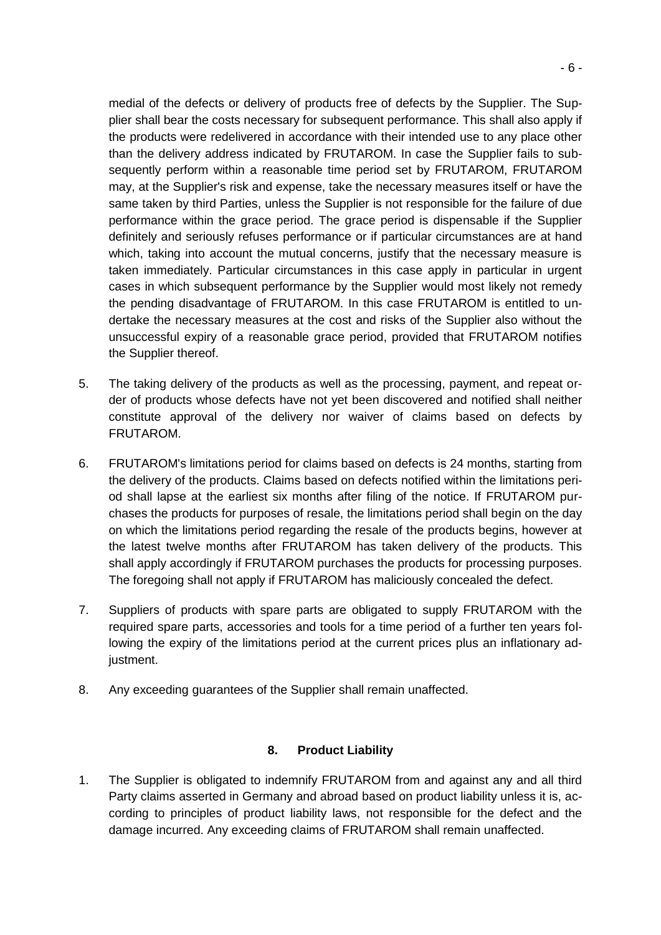medial of the defects or delivery of products free of defects by the Supplier. The Supplier shall bear the costs necessary for subsequent performance. This shall also apply if the products were redelivered in accordance with their intended use to any place other than the delivery address indicated by FRUTAROM. In case the Supplier fails to subsequently perform within a reasonable time period set by FRUTAROM, FRUTAROM may, at the Supplier's risk and expense, take the necessary measures itself or have the same taken by third Parties, unless the Supplier is not responsible for the failure of due performance within the grace period. The grace period is dispensable if the Supplier definitely and seriously refuses performance or if particular circumstances are at hand which, taking into account the mutual concerns, justify that the necessary measure is taken immediately. Particular circumstances in this case apply in particular in urgent cases in which subsequent performance by the Supplier would most likely not remedy the pending disadvantage of FRUTAROM. In this case FRUTAROM is entitled to undertake the necessary measures at the cost and risks of the Supplier also without the unsuccessful expiry of a reasonable grace period, provided that FRUTAROM notifies the Supplier thereof.

- 5. The taking delivery of the products as well as the processing, payment, and repeat order of products whose defects have not yet been discovered and notified shall neither constitute approval of the delivery nor waiver of claims based on defects by FRUTAROM.
- 6. FRUTAROM's limitations period for claims based on defects is 24 months, starting from the delivery of the products. Claims based on defects notified within the limitations period shall lapse at the earliest six months after filing of the notice. If FRUTAROM purchases the products for purposes of resale, the limitations period shall begin on the day on which the limitations period regarding the resale of the products begins, however at the latest twelve months after FRUTAROM has taken delivery of the products. This shall apply accordingly if FRUTAROM purchases the products for processing purposes. The foregoing shall not apply if FRUTAROM has maliciously concealed the defect.
- 7. Suppliers of products with spare parts are obligated to supply FRUTAROM with the required spare parts, accessories and tools for a time period of a further ten years following the expiry of the limitations period at the current prices plus an inflationary adjustment.
- 8. Any exceeding guarantees of the Supplier shall remain unaffected.

### **8. Product Liability**

1. The Supplier is obligated to indemnify FRUTAROM from and against any and all third Party claims asserted in Germany and abroad based on product liability unless it is, according to principles of product liability laws, not responsible for the defect and the damage incurred. Any exceeding claims of FRUTAROM shall remain unaffected.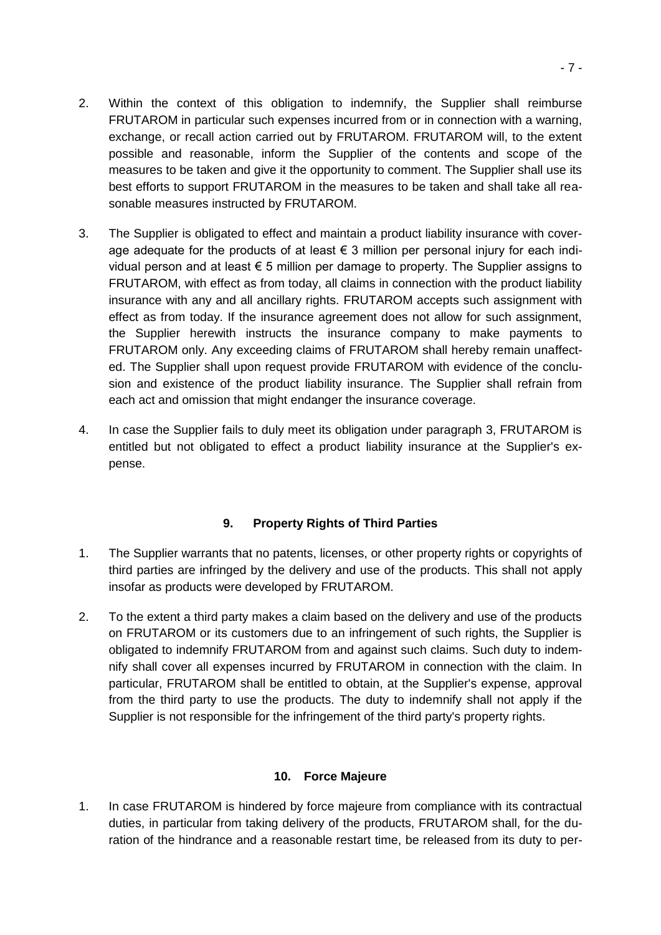- 2. Within the context of this obligation to indemnify, the Supplier shall reimburse FRUTAROM in particular such expenses incurred from or in connection with a warning, exchange, or recall action carried out by FRUTAROM. FRUTAROM will, to the extent possible and reasonable, inform the Supplier of the contents and scope of the measures to be taken and give it the opportunity to comment. The Supplier shall use its best efforts to support FRUTAROM in the measures to be taken and shall take all reasonable measures instructed by FRUTAROM.
- 3. The Supplier is obligated to effect and maintain a product liability insurance with coverage adequate for the products of at least  $\epsilon$  3 million per personal injury for each individual person and at least  $\epsilon$  5 million per damage to property. The Supplier assigns to FRUTAROM, with effect as from today, all claims in connection with the product liability insurance with any and all ancillary rights. FRUTAROM accepts such assignment with effect as from today. If the insurance agreement does not allow for such assignment, the Supplier herewith instructs the insurance company to make payments to FRUTAROM only. Any exceeding claims of FRUTAROM shall hereby remain unaffected. The Supplier shall upon request provide FRUTAROM with evidence of the conclusion and existence of the product liability insurance. The Supplier shall refrain from each act and omission that might endanger the insurance coverage.
- 4. In case the Supplier fails to duly meet its obligation under paragraph 3, FRUTAROM is entitled but not obligated to effect a product liability insurance at the Supplier's expense.

# **9. Property Rights of Third Parties**

- 1. The Supplier warrants that no patents, licenses, or other property rights or copyrights of third parties are infringed by the delivery and use of the products. This shall not apply insofar as products were developed by FRUTAROM.
- 2. To the extent a third party makes a claim based on the delivery and use of the products on FRUTAROM or its customers due to an infringement of such rights, the Supplier is obligated to indemnify FRUTAROM from and against such claims. Such duty to indemnify shall cover all expenses incurred by FRUTAROM in connection with the claim. In particular, FRUTAROM shall be entitled to obtain, at the Supplier's expense, approval from the third party to use the products. The duty to indemnify shall not apply if the Supplier is not responsible for the infringement of the third party's property rights.

# **10. Force Majeure**

1. In case FRUTAROM is hindered by force majeure from compliance with its contractual duties, in particular from taking delivery of the products, FRUTAROM shall, for the duration of the hindrance and a reasonable restart time, be released from its duty to per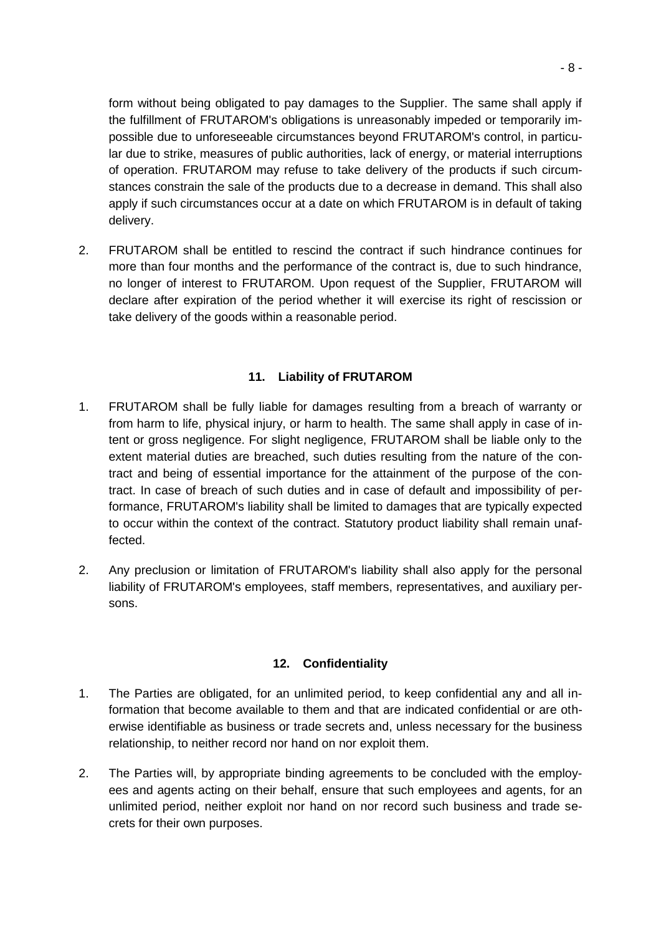form without being obligated to pay damages to the Supplier. The same shall apply if the fulfillment of FRUTAROM's obligations is unreasonably impeded or temporarily impossible due to unforeseeable circumstances beyond FRUTAROM's control, in particular due to strike, measures of public authorities, lack of energy, or material interruptions of operation. FRUTAROM may refuse to take delivery of the products if such circumstances constrain the sale of the products due to a decrease in demand. This shall also apply if such circumstances occur at a date on which FRUTAROM is in default of taking delivery.

2. FRUTAROM shall be entitled to rescind the contract if such hindrance continues for more than four months and the performance of the contract is, due to such hindrance, no longer of interest to FRUTAROM. Upon request of the Supplier, FRUTAROM will declare after expiration of the period whether it will exercise its right of rescission or take delivery of the goods within a reasonable period.

# **11. Liability of FRUTAROM**

- 1. FRUTAROM shall be fully liable for damages resulting from a breach of warranty or from harm to life, physical injury, or harm to health. The same shall apply in case of intent or gross negligence. For slight negligence, FRUTAROM shall be liable only to the extent material duties are breached, such duties resulting from the nature of the contract and being of essential importance for the attainment of the purpose of the contract. In case of breach of such duties and in case of default and impossibility of performance, FRUTAROM's liability shall be limited to damages that are typically expected to occur within the context of the contract. Statutory product liability shall remain unaffected.
- 2. Any preclusion or limitation of FRUTAROM's liability shall also apply for the personal liability of FRUTAROM's employees, staff members, representatives, and auxiliary persons.

### **12. Confidentiality**

- 1. The Parties are obligated, for an unlimited period, to keep confidential any and all information that become available to them and that are indicated confidential or are otherwise identifiable as business or trade secrets and, unless necessary for the business relationship, to neither record nor hand on nor exploit them.
- 2. The Parties will, by appropriate binding agreements to be concluded with the employees and agents acting on their behalf, ensure that such employees and agents, for an unlimited period, neither exploit nor hand on nor record such business and trade secrets for their own purposes.